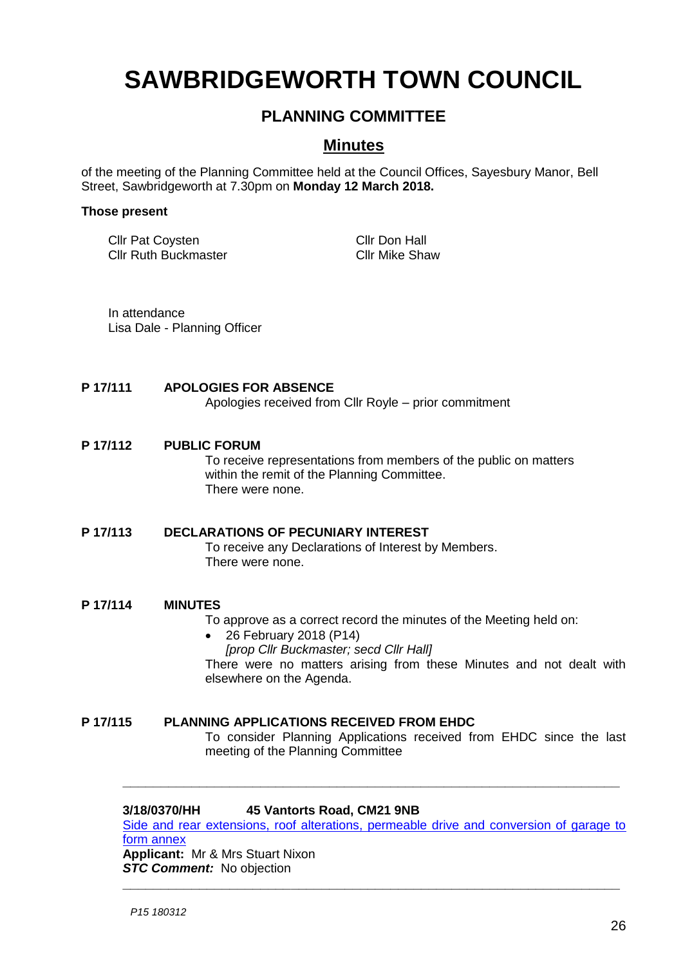# **SAWBRIDGEWORTH TOWN COUNCIL**

## **PLANNING COMMITTEE**

### **Minutes**

of the meeting of the Planning Committee held at the Council Offices, Sayesbury Manor, Bell Street, Sawbridgeworth at 7.30pm on **Monday 12 March 2018.**

#### **Those present**

Cllr Pat Coysten Cllr Don Hall Cllr Ruth Buckmaster Cllr Mike Shaw

In attendance Lisa Dale - Planning Officer

#### **P 17/111 APOLOGIES FOR ABSENCE**

Apologies received from Cllr Royle – prior commitment

#### **P 17/112 PUBLIC FORUM**

To receive representations from members of the public on matters within the remit of the Planning Committee. There were none.

#### **P 17/113 DECLARATIONS OF PECUNIARY INTEREST**

To receive any Declarations of Interest by Members. There were none.

#### **P 17/114 MINUTES**

To approve as a correct record the minutes of the Meeting held on:

- 26 February 2018 (P14)
	- *[prop Cllr Buckmaster; secd Cllr Hall]*

There were no matters arising from these Minutes and not dealt with elsewhere on the Agenda.

#### **P 17/115 PLANNING APPLICATIONS RECEIVED FROM EHDC**

To consider Planning Applications received from EHDC since the last meeting of the Planning Committee

#### **3/18/0370/HH 45 Vantorts Road, CM21 9NB**

[Side and rear extensions, roof alterations, permeable drive and conversion of garage to](https://publicaccess.eastherts.gov.uk/online-applications/applicationDetails.do?activeTab=documents&keyVal=P4FVM4GLKMO00)  [form annex](https://publicaccess.eastherts.gov.uk/online-applications/applicationDetails.do?activeTab=documents&keyVal=P4FVM4GLKMO00) **Applicant:** Mr & Mrs Stuart Nixon

**\_\_\_\_\_\_\_\_\_\_\_\_\_\_\_\_\_\_\_\_\_\_\_\_\_\_\_\_\_\_\_\_\_\_\_\_\_\_\_\_\_\_\_\_\_\_\_\_\_\_\_\_\_\_\_\_\_\_\_\_\_\_\_\_\_**

**\_\_\_\_\_\_\_\_\_\_\_\_\_\_\_\_\_\_\_\_\_\_\_\_\_\_\_\_\_\_\_\_\_\_\_\_\_\_\_\_\_\_\_\_\_\_\_\_\_\_\_\_\_\_\_\_\_\_\_\_\_\_\_\_\_**

**STC Comment:** No objection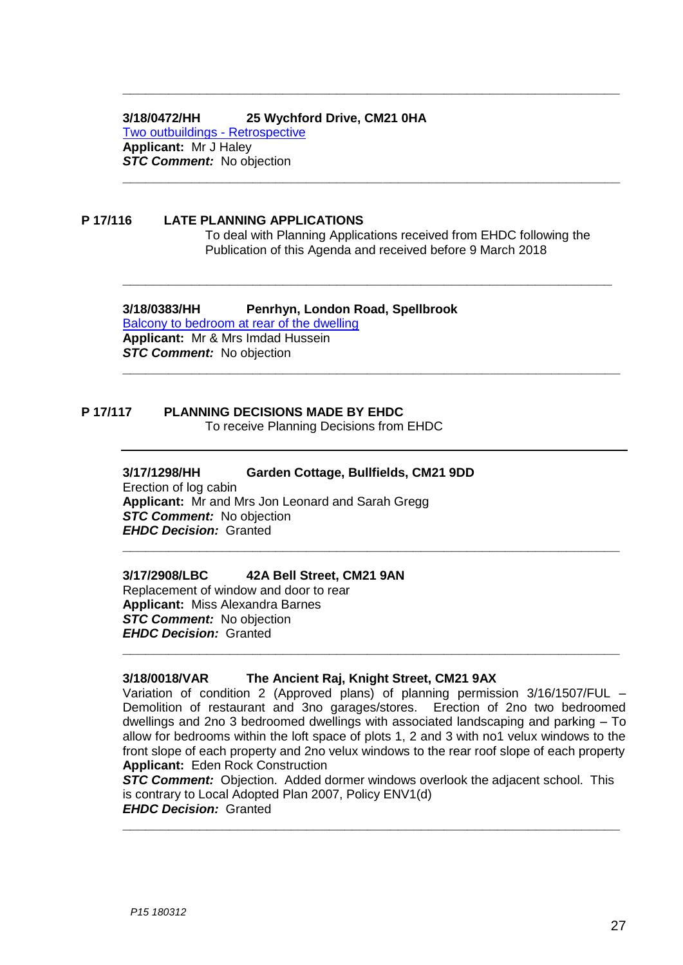#### **3/18/0472/HH 25 Wychford Drive, CM21 0HA**

[Two outbuildings -](https://publicaccess.eastherts.gov.uk/online-applications/applicationDetails.do?activeTab=documents&keyVal=P4Z1SYGL00700) Retrospective **Applicant:** Mr J Haley *STC Comment:* No objection

#### **P 17/116 LATE PLANNING APPLICATIONS**

To deal with Planning Applications received from EHDC following the Publication of this Agenda and received before 9 March 2018

**\_\_\_\_\_\_\_\_\_\_\_\_\_\_\_\_\_\_\_\_\_\_\_\_\_\_\_\_\_\_\_\_\_\_\_\_\_\_\_\_\_\_\_\_\_\_\_\_\_\_\_\_\_\_\_\_\_\_\_\_\_\_\_\_\_**

**\_\_\_\_\_\_\_\_\_\_\_\_\_\_\_\_\_\_\_\_\_\_\_\_\_\_\_\_\_\_\_\_\_\_\_\_\_\_\_\_\_\_\_\_\_\_\_\_\_\_\_\_\_\_\_\_\_\_\_\_\_\_\_\_\_**

**\_\_\_\_\_\_\_\_\_\_\_\_\_\_\_\_\_\_\_\_\_\_\_\_\_\_\_\_\_\_\_\_\_\_\_\_\_\_\_\_\_\_\_\_\_\_\_\_\_\_\_\_\_\_\_\_\_\_\_\_\_\_\_\_**

**\_\_\_\_\_\_\_\_\_\_\_\_\_\_\_\_\_\_\_\_\_\_\_\_\_\_\_\_\_\_\_\_\_\_\_\_\_\_\_\_\_\_\_\_\_\_\_\_\_\_\_\_\_\_\_\_\_\_\_\_\_\_\_\_\_**

**\_\_\_\_\_\_\_\_\_\_\_\_\_\_\_\_\_\_\_\_\_\_\_\_\_\_\_\_\_\_\_\_\_\_\_\_\_\_\_\_\_\_\_\_\_\_\_\_\_\_\_\_\_\_\_\_\_\_\_\_\_\_\_\_\_**

# **3/18/0383/HH Penrhyn, London Road, Spellbrook**

[Balcony to bedroom at rear of the dwelling](https://publicaccess.eastherts.gov.uk/online-applications/applicationDetails.do?activeTab=documents&keyVal=P4HQ9IGLKN700) **Applicant:** Mr & Mrs Imdad Hussein *STC Comment:* No objection

# **P 17/117 PLANNING DECISIONS MADE BY EHDC**

To receive Planning Decisions from EHDC

#### **3/17/1298/HH Garden Cottage, Bullfields, CM21 9DD**

Erection of log cabin **Applicant:** Mr and Mrs Jon Leonard and Sarah Gregg *STC Comment:* No objection *EHDC Decision:* Granted

#### **3/17/2908/LBC 42A Bell Street, CM21 9AN**

Replacement of window and door to rear **Applicant:** Miss Alexandra Barnes **STC Comment:** No objection *EHDC Decision:* Granted

#### **3/18/0018/VAR The Ancient Raj, Knight Street, CM21 9AX**

Variation of condition 2 (Approved plans) of planning permission 3/16/1507/FUL – Demolition of restaurant and 3no garages/stores. Erection of 2no two bedroomed dwellings and 2no 3 bedroomed dwellings with associated landscaping and parking – To allow for bedrooms within the loft space of plots 1, 2 and 3 with no1 velux windows to the front slope of each property and 2no velux windows to the rear roof slope of each property **Applicant:** Eden Rock Construction

**\_\_\_\_\_\_\_\_\_\_\_\_\_\_\_\_\_\_\_\_\_\_\_\_\_\_\_\_\_\_\_\_\_\_\_\_\_\_\_\_\_\_\_\_\_\_\_\_\_\_\_\_\_\_\_\_\_\_\_\_\_\_\_\_\_**

**STC Comment:** Objection. Added dormer windows overlook the adjacent school. This is contrary to Local Adopted Plan 2007, Policy ENV1(d) *EHDC Decision:* Granted **\_\_\_\_\_\_\_\_\_\_\_\_\_\_\_\_\_\_\_\_\_\_\_\_\_\_\_\_\_\_\_\_\_\_\_\_\_\_\_\_\_\_\_\_\_\_\_\_\_\_\_\_\_\_\_\_\_\_\_\_\_\_\_\_\_**